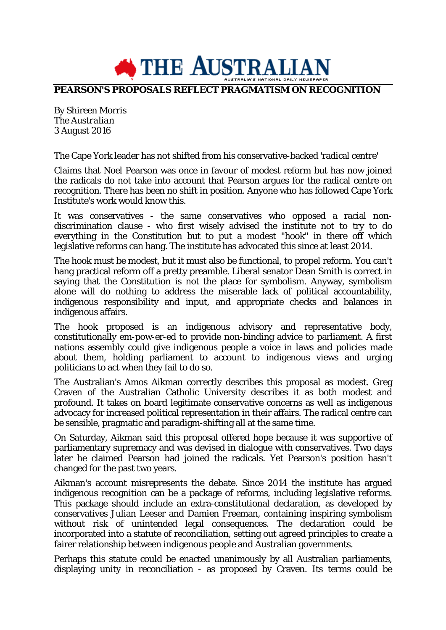

## **PEARSON'S PROPOSALS REFLECT PRAGMATISM ON RECOGNITION**

By Shireen Morris *The Australian* 3 August 2016

The Cape York leader has not shifted from his conservative-backed 'radical centre'

Claims that Noel Pearson was once in favour of modest reform but has now joined the radicals do not take into account that Pearson argues for the radical centre on recognition. There has been no shift in position. Anyone who has followed Cape York Institute's work would know this.

It was conservatives - the same conservatives who opposed a racial nondiscrimination clause - who first wisely advised the institute not to try to do everything in the Constitution but to put a modest "hook" in there off which legislative reforms can hang. The institute has advocated this since at least 2014.

The hook must be modest, but it must also be functional, to propel reform. You can't hang practical reform off a pretty preamble. Liberal senator Dean Smith is correct in saying that the Constitution is not the place for symbolism. Anyway, symbolism alone will do nothing to address the miserable lack of political accountability, indigenous responsibility and input, and appropriate checks and balances in indigenous affairs.

The hook proposed is an indigenous advisory and representative body, constitutionally em-pow-er-ed to provide non-binding advice to parliament. A first nations assembly could give indigenous people a voice in laws and policies made about them, holding parliament to account to indigenous views and urging politicians to act when they fail to do so.

The Australian's Amos Aikman correctly describes this proposal as modest. Greg Craven of the Australian Catholic University describes it as both modest and profound. It takes on board legitimate conservative concerns as well as indigenous advocacy for increased political representation in their affairs. The radical centre can be sensible, pragmatic and paradigm-shifting all at the same time.

On Saturday, Aikman said this proposal offered hope because it was supportive of parliamentary supremacy and was devised in dialogue with conservatives. Two days later he claimed Pearson had joined the radicals. Yet Pearson's position hasn't changed for the past two years.

Aikman's account misrepresents the debate. Since 2014 the institute has argued indigenous recognition can be a package of reforms, including legislative reforms. This package should include an extra-constitutional declaration, as developed by conservatives Julian Leeser and Damien Freeman, containing inspiring symbolism without risk of unintended legal consequences. The declaration could be incorporated into a statute of reconciliation, setting out agreed principles to create a fairer relationship between indigenous people and Australian governments.

Perhaps this statute could be enacted unanimously by all Australian parliaments, displaying unity in reconciliation - as proposed by Craven. Its terms could be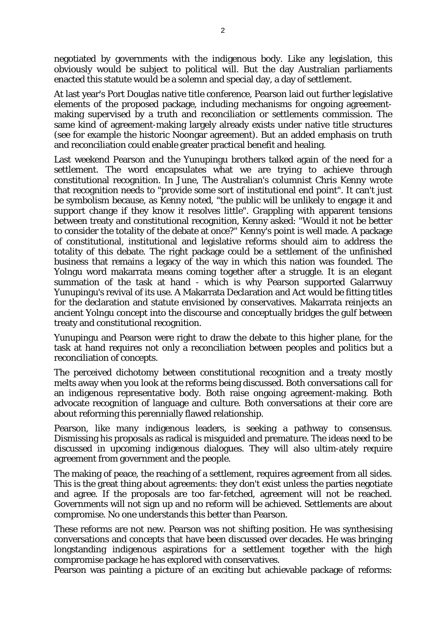negotiated by governments with the indigenous body. Like any legislation, this obviously would be subject to political will. But the day Australian parliaments enacted this statute would be a solemn and special day, a day of settlement.

At last year's Port Douglas native title conference, Pearson laid out further legislative elements of the proposed package, including mechanisms for ongoing agreementmaking supervised by a truth and reconciliation or settlements commission. The same kind of agreement-making largely already exists under native title structures (see for example the historic Noongar agreement). But an added emphasis on truth and reconciliation could enable greater practical benefit and healing.

Last weekend Pearson and the Yunupingu brothers talked again of the need for a settlement. The word encapsulates what we are trying to achieve through constitutional recognition. In June, The Australian's columnist Chris Kenny wrote that recognition needs to "provide some sort of institutional end point". It can't just be symbolism because, as Kenny noted, "the public will be unlikely to engage it and support change if they know it resolves little". Grappling with apparent tensions between treaty and constitutional recognition, Kenny asked: "Would it not be better to consider the totality of the debate at once?" Kenny's point is well made. A package of constitutional, institutional and legislative reforms should aim to address the totality of this debate. The right package could be a settlement of the unfinished business that remains a legacy of the way in which this nation was founded. The Yolngu word makarrata means coming together after a struggle. It is an elegant summation of the task at hand - which is why Pearson supported Galarrwuy Yunupingu's revival of its use. A Makarrata Declaration and Act would be fitting titles for the declaration and statute envisioned by conservatives. Makarrata reinjects an ancient Yolngu concept into the discourse and conceptually bridges the gulf between treaty and constitutional recognition.

Yunupingu and Pearson were right to draw the debate to this higher plane, for the task at hand requires not only a reconciliation between peoples and politics but a reconciliation of concepts.

The perceived dichotomy between constitutional recognition and a treaty mostly melts away when you look at the reforms being discussed. Both conversations call for an indigenous representative body. Both raise ongoing agreement-making. Both advocate recognition of language and culture. Both conversations at their core are about reforming this perennially flawed relationship.

Pearson, like many indigenous leaders, is seeking a pathway to consensus. Dismissing his proposals as radical is misguided and premature. The ideas need to be discussed in upcoming indigenous dialogues. They will also ultim-ately require agreement from government and the people.

The making of peace, the reaching of a settlement, requires agreement from all sides. This is the great thing about agreements: they don't exist unless the parties negotiate and agree. If the proposals are too far-fetched, agreement will not be reached. Governments will not sign up and no reform will be achieved. Settlements are about compromise. No one understands this better than Pearson.

These reforms are not new. Pearson was not shifting position. He was synthesising conversations and concepts that have been discussed over decades. He was bringing longstanding indigenous aspirations for a settlement together with the high compromise package he has explored with conservatives.

Pearson was painting a picture of an exciting but achievable package of reforms: